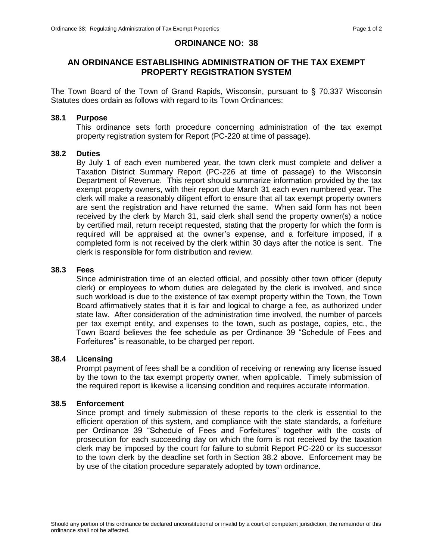## **ORDINANCE NO: 38**

# **AN ORDINANCE ESTABLISHING ADMINISTRATION OF THE TAX EXEMPT PROPERTY REGISTRATION SYSTEM**

The Town Board of the Town of Grand Rapids, Wisconsin, pursuant to § 70.337 Wisconsin Statutes does ordain as follows with regard to its Town Ordinances:

#### **38.1 Purpose**

This ordinance sets forth procedure concerning administration of the tax exempt property registration system for Report (PC-220 at time of passage).

### **38.2 Duties**

By July 1 of each even numbered year, the town clerk must complete and deliver a Taxation District Summary Report (PC-226 at time of passage) to the Wisconsin Department of Revenue. This report should summarize information provided by the tax exempt property owners, with their report due March 31 each even numbered year. The clerk will make a reasonably diligent effort to ensure that all tax exempt property owners are sent the registration and have returned the same. When said form has not been received by the clerk by March 31, said clerk shall send the property owner(s) a notice by certified mail, return receipt requested, stating that the property for which the form is required will be appraised at the owner's expense, and a forfeiture imposed, if a completed form is not received by the clerk within 30 days after the notice is sent. The clerk is responsible for form distribution and review.

### **38.3 Fees**

Since administration time of an elected official, and possibly other town officer (deputy clerk) or employees to whom duties are delegated by the clerk is involved, and since such workload is due to the existence of tax exempt property within the Town, the Town Board affirmatively states that it is fair and logical to charge a fee, as authorized under state law. After consideration of the administration time involved, the number of parcels per tax exempt entity, and expenses to the town, such as postage, copies, etc., the Town Board believes the fee schedule as per Ordinance 39 "Schedule of Fees and Forfeitures" is reasonable, to be charged per report.

## **38.4 Licensing**

Prompt payment of fees shall be a condition of receiving or renewing any license issued by the town to the tax exempt property owner, when applicable. Timely submission of the required report is likewise a licensing condition and requires accurate information.

#### **38.5 Enforcement**

Since prompt and timely submission of these reports to the clerk is essential to the efficient operation of this system, and compliance with the state standards, a forfeiture per Ordinance 39 "Schedule of Fees and Forfeitures" together with the costs of prosecution for each succeeding day on which the form is not received by the taxation clerk may be imposed by the court for failure to submit Report PC-220 or its successor to the town clerk by the deadline set forth in Section 38.2 above. Enforcement may be by use of the citation procedure separately adopted by town ordinance.